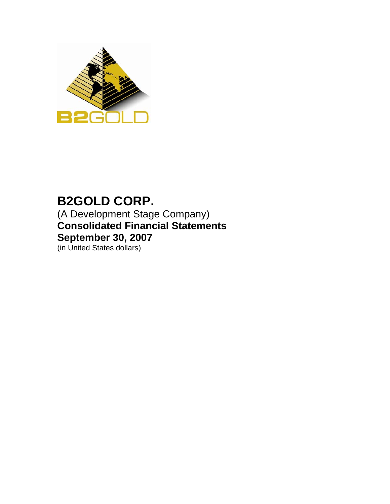

# **B2GOLD CORP.**

(A Development Stage Company) **Consolidated Financial Statements September 30, 2007** 

(in United States dollars)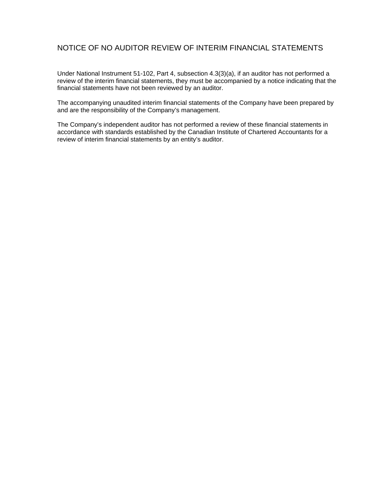## NOTICE OF NO AUDITOR REVIEW OF INTERIM FINANCIAL STATEMENTS

Under National Instrument 51-102, Part 4, subsection 4.3(3)(a), if an auditor has not performed a review of the interim financial statements, they must be accompanied by a notice indicating that the financial statements have not been reviewed by an auditor.

The accompanying unaudited interim financial statements of the Company have been prepared by and are the responsibility of the Company's management.

The Company's independent auditor has not performed a review of these financial statements in accordance with standards established by the Canadian Institute of Chartered Accountants for a review of interim financial statements by an entity's auditor.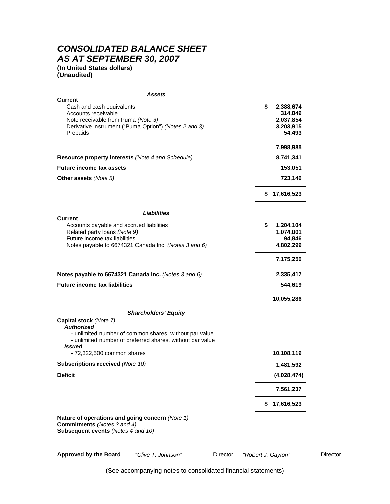# *CONSOLIDATED BALANCE SHEET AS AT SEPTEMBER 30, 2007*

**(In United States dollars) (Unaudited)** 

|                                                                                                                             | Assets                                                                                                              |          |                    |                        |          |
|-----------------------------------------------------------------------------------------------------------------------------|---------------------------------------------------------------------------------------------------------------------|----------|--------------------|------------------------|----------|
| <b>Current</b>                                                                                                              |                                                                                                                     |          | \$                 |                        |          |
| Cash and cash equivalents<br>Accounts receivable                                                                            |                                                                                                                     |          |                    | 2,388,674<br>314,049   |          |
| Note receivable from Puma (Note 3)                                                                                          |                                                                                                                     |          |                    | 2,037,854              |          |
|                                                                                                                             | Derivative instrument ("Puma Option") (Notes 2 and 3)                                                               |          |                    | 3,203,915              |          |
| Prepaids                                                                                                                    |                                                                                                                     |          |                    | 54,493                 |          |
|                                                                                                                             |                                                                                                                     |          |                    | 7,998,985              |          |
| Resource property interests (Note 4 and Schedule)                                                                           |                                                                                                                     |          |                    | 8,741,341              |          |
| <b>Future income tax assets</b>                                                                                             |                                                                                                                     |          |                    | 153,051                |          |
| <b>Other assets (Note 5)</b>                                                                                                |                                                                                                                     |          |                    | 723,146                |          |
|                                                                                                                             |                                                                                                                     |          |                    | \$17,616,523           |          |
|                                                                                                                             | <b>Liabilities</b>                                                                                                  |          |                    |                        |          |
| <b>Current</b>                                                                                                              |                                                                                                                     |          |                    |                        |          |
| Accounts payable and accrued liabilities                                                                                    |                                                                                                                     |          | \$                 | 1,204,104<br>1,074,001 |          |
| Related party loans (Note 9)<br>Future income tax liabilities                                                               |                                                                                                                     |          |                    | 94,846                 |          |
|                                                                                                                             | Notes payable to 6674321 Canada Inc. (Notes 3 and 6)                                                                |          |                    | 4,802,299              |          |
|                                                                                                                             |                                                                                                                     |          |                    | 7,175,250              |          |
|                                                                                                                             | Notes payable to 6674321 Canada Inc. (Notes 3 and 6)                                                                |          |                    | 2,335,417              |          |
| <b>Future income tax liabilities</b>                                                                                        |                                                                                                                     |          |                    | 544,619                |          |
|                                                                                                                             |                                                                                                                     |          |                    | 10,055,286             |          |
|                                                                                                                             | <b>Shareholders' Equity</b>                                                                                         |          |                    |                        |          |
| Capital stock (Note 7)                                                                                                      |                                                                                                                     |          |                    |                        |          |
| <b>Authorized</b><br><b>Issued</b>                                                                                          | - unlimited number of common shares, without par value<br>- unlimited number of preferred shares, without par value |          |                    |                        |          |
| - 72,322,500 common shares                                                                                                  |                                                                                                                     |          |                    | 10,108,119             |          |
| Subscriptions received (Note 10)                                                                                            |                                                                                                                     |          |                    | 1,481,592              |          |
| <b>Deficit</b>                                                                                                              |                                                                                                                     |          |                    | (4,028,474)            |          |
|                                                                                                                             |                                                                                                                     |          |                    | 7,561,237              |          |
|                                                                                                                             |                                                                                                                     |          | \$                 | 17,616,523             |          |
| Nature of operations and going concern (Note 1)<br><b>Commitments</b> (Notes 3 and 4)<br>Subsequent events (Notes 4 and 10) |                                                                                                                     |          |                    |                        |          |
|                                                                                                                             |                                                                                                                     |          |                    |                        |          |
| <b>Approved by the Board</b>                                                                                                | "Clive T. Johnson"                                                                                                  | Director | "Robert J. Gayton" |                        | Director |

(See accompanying notes to consolidated financial statements)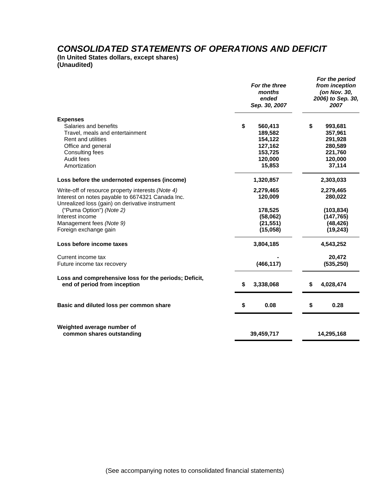## *CONSOLIDATED STATEMENTS OF OPERATIONS AND DEFICIT*

**(In United States dollars, except shares) (Unaudited)** 

|                                                                                                     | For the three<br>months<br>ended<br>Sep. 30, 2007 | For the period<br>from inception<br>(on Nov. 30,<br>2006) to Sep. 30,<br>2007 |                    |  |
|-----------------------------------------------------------------------------------------------------|---------------------------------------------------|-------------------------------------------------------------------------------|--------------------|--|
| <b>Expenses</b><br>Salaries and benefits                                                            | \$<br>560,413                                     | \$                                                                            | 993,681            |  |
| Travel, meals and entertainment<br><b>Rent and utilities</b>                                        | 189,582<br>154,122                                |                                                                               | 357,961<br>291,928 |  |
| Office and general                                                                                  | 127,162                                           |                                                                               | 280,589            |  |
| Consulting fees                                                                                     | 153,725                                           |                                                                               | 221,760            |  |
| Audit fees                                                                                          | 120,000                                           |                                                                               | 120,000            |  |
| Amortization                                                                                        | 15,853                                            |                                                                               | 37,114             |  |
| Loss before the undernoted expenses (income)                                                        | 1,320,857                                         |                                                                               | 2,303,033          |  |
| Write-off of resource property interests (Note 4)                                                   | 2,279,465                                         |                                                                               | 2,279,465          |  |
| Interest on notes payable to 6674321 Canada Inc.<br>Unrealized loss (gain) on derivative instrument | 120,009                                           |                                                                               | 280,022            |  |
| ("Puma Option") (Note 2)                                                                            | 178,525                                           |                                                                               | (103, 834)         |  |
| Interest income                                                                                     | (58,062)                                          |                                                                               | (147, 765)         |  |
| Management fees (Note 9)                                                                            | (21, 551)                                         |                                                                               | (48, 426)          |  |
| Foreign exchange gain                                                                               | (15,058)                                          |                                                                               | (19, 243)          |  |
| Loss before income taxes                                                                            | 3,804,185                                         |                                                                               | 4,543,252          |  |
| Current income tax                                                                                  |                                                   |                                                                               | 20,472             |  |
| Future income tax recovery                                                                          | (466, 117)                                        |                                                                               | (535, 250)         |  |
| Loss and comprehensive loss for the periods; Deficit,<br>end of period from inception               | \$<br>3,338,068                                   | \$                                                                            | 4,028,474          |  |
|                                                                                                     |                                                   |                                                                               |                    |  |
| Basic and diluted loss per common share                                                             | \$<br>0.08                                        | \$                                                                            | 0.28               |  |
| Weighted average number of<br>common shares outstanding                                             | 39,459,717                                        |                                                                               | 14,295,168         |  |
|                                                                                                     |                                                   |                                                                               |                    |  |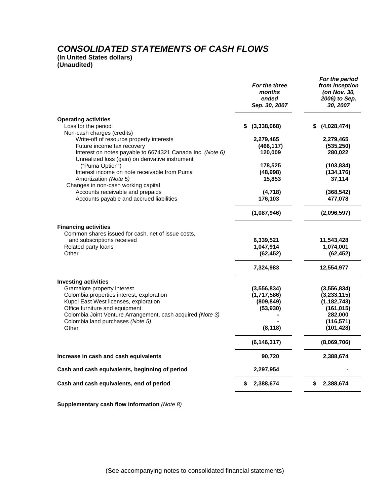# *CONSOLIDATED STATEMENTS OF CASH FLOWS*

**(In United States dollars) (Unaudited)** 

|                                                                                                                                                                                                                                                                                               | For the three<br>months<br>ended<br>Sep. 30, 2007                   | For the period<br>from inception<br>(on Nov. 30,<br>2006) to Sep.<br>30, 2007                        |
|-----------------------------------------------------------------------------------------------------------------------------------------------------------------------------------------------------------------------------------------------------------------------------------------------|---------------------------------------------------------------------|------------------------------------------------------------------------------------------------------|
| <b>Operating activities</b><br>Loss for the period<br>Non-cash charges (credits)                                                                                                                                                                                                              | (3,338,068)<br>S                                                    | \$ (4,028,474)                                                                                       |
| Write-off of resource property interests<br>Future income tax recovery<br>Interest on notes payable to 6674321 Canada Inc. (Note 6)<br>Unrealized loss (gain) on derivative instrument                                                                                                        | 2,279,465<br>(466, 117)<br>120,009                                  | 2,279,465<br>(535, 250)<br>280,022                                                                   |
| ("Puma Option")<br>Interest income on note receivable from Puma<br>Amortization (Note 5)<br>Changes in non-cash working capital                                                                                                                                                               | 178,525<br>(48,998)<br>15,853                                       | (103, 834)<br>(134, 176)<br>37,114                                                                   |
| Accounts receivable and prepaids<br>Accounts payable and accrued liabilities                                                                                                                                                                                                                  | (4,718)<br>176,103                                                  | (368, 542)<br>477,078                                                                                |
|                                                                                                                                                                                                                                                                                               | (1,087,946)                                                         | (2,096,597)                                                                                          |
| <b>Financing activities</b><br>Common shares issued for cash, net of issue costs,<br>and subscriptions received<br>Related party loans<br>Other                                                                                                                                               | 6,339,521<br>1,047,914<br>(62, 452)                                 | 11,543,428<br>1,074,001<br>(62, 452)                                                                 |
|                                                                                                                                                                                                                                                                                               | 7,324,983                                                           | 12,554,977                                                                                           |
| <b>Investing activities</b><br>Gramalote property interest<br>Colombia properties interest, exploration<br>Kupol East West licenses, exploration<br>Office furniture and equipment<br>Colombia Joint Venture Arrangement, cash acquired (Note 3)<br>Colombia land purchases (Note 5)<br>Other | (3, 556, 834)<br>(1,717,586)<br>(809, 849)<br>(53, 930)<br>(8, 118) | (3, 556, 834)<br>(3, 233, 115)<br>(1, 182, 743)<br>(161, 015)<br>282,000<br>(116, 571)<br>(101, 428) |
|                                                                                                                                                                                                                                                                                               | (6, 146, 317)                                                       | (8,069,706)                                                                                          |
| Increase in cash and cash equivalents                                                                                                                                                                                                                                                         | 90,720                                                              | 2,388,674                                                                                            |
| Cash and cash equivalents, beginning of period                                                                                                                                                                                                                                                | 2,297,954                                                           |                                                                                                      |
| Cash and cash equivalents, end of period                                                                                                                                                                                                                                                      | 2,388,674<br>S                                                      | \$2,388,674                                                                                          |

**Supplementary cash flow information** *(Note 8)*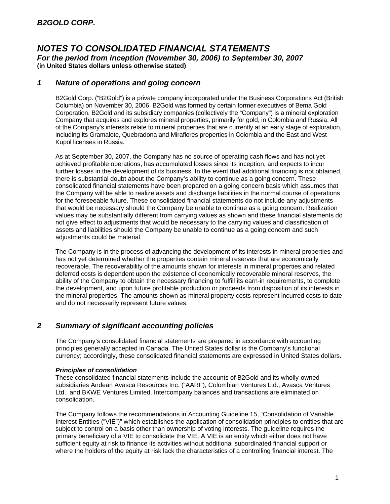### *1 Nature of operations and going concern*

B2Gold Corp. ("B2Gold") is a private company incorporated under the Business Corporations Act (British Columbia) on November 30, 2006. B2Gold was formed by certain former executives of Bema Gold Corporation. B2Gold and its subsidiary companies (collectively the "Company") is a mineral exploration Company that acquires and explores mineral properties, primarily for gold, in Colombia and Russia. All of the Company's interests relate to mineral properties that are currently at an early stage of exploration, including its Gramalote, Quebradona and Miraflores properties in Colombia and the East and West Kupol licenses in Russia.

As at September 30, 2007, the Company has no source of operating cash flows and has not yet achieved profitable operations, has accumulated losses since its inception, and expects to incur further losses in the development of its business. In the event that additional financing is not obtained, there is substantial doubt about the Company's ability to continue as a going concern. These consolidated financial statements have been prepared on a going concern basis which assumes that the Company will be able to realize assets and discharge liabilities in the normal course of operations for the foreseeable future. These consolidated financial statements do not include any adjustments that would be necessary should the Company be unable to continue as a going concern. Realization values may be substantially different from carrying values as shown and these financial statements do not give effect to adjustments that would be necessary to the carrying values and classification of assets and liabilities should the Company be unable to continue as a going concern and such adjustments could be material.

The Company is in the process of advancing the development of its interests in mineral properties and has not yet determined whether the properties contain mineral reserves that are economically recoverable. The recoverability of the amounts shown for interests in mineral properties and related deferred costs is dependent upon the existence of economically recoverable mineral reserves, the ability of the Company to obtain the necessary financing to fulfill its earn-in requirements, to complete the development, and upon future profitable production or proceeds from disposition of its interests in the mineral properties. The amounts shown as mineral property costs represent incurred costs to date and do not necessarily represent future values.

## *2 Summary of significant accounting policies*

The Company's consolidated financial statements are prepared in accordance with accounting principles generally accepted in Canada. The United States dollar is the Company's functional currency; accordingly, these consolidated financial statements are expressed in United States dollars.

#### *Principles of consolidation*

These consolidated financial statements include the accounts of B2Gold and its wholly-owned subsidiaries Andean Avasca Resources Inc. ("AARI"), Colombian Ventures Ltd., Avasca Ventures Ltd., and BKWE Ventures Limited. Intercompany balances and transactions are eliminated on consolidation.

The Company follows the recommendations in Accounting Guideline 15, "Consolidation of Variable Interest Entities ("VIE")" which establishes the application of consolidation principles to entities that are subject to control on a basis other than ownership of voting interests. The guideline requires the primary beneficiary of a VIE to consolidate the VIE. A VIE is an entity which either does not have sufficient equity at risk to finance its activities without additional subordinated financial support or where the holders of the equity at risk lack the characteristics of a controlling financial interest. The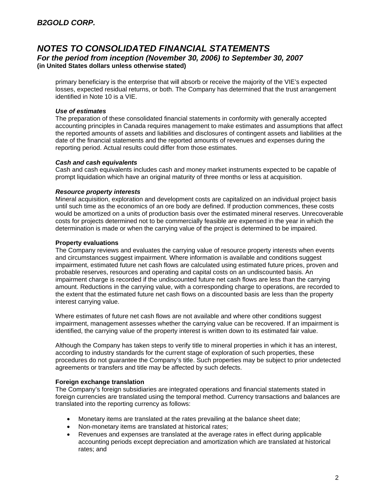primary beneficiary is the enterprise that will absorb or receive the majority of the VIE's expected losses, expected residual returns, or both. The Company has determined that the trust arrangement identified in Note 10 is a VIE.

#### *Use of estimates*

The preparation of these consolidated financial statements in conformity with generally accepted accounting principles in Canada requires management to make estimates and assumptions that affect the reported amounts of assets and liabilities and disclosures of contingent assets and liabilities at the date of the financial statements and the reported amounts of revenues and expenses during the reporting period. Actual results could differ from those estimates.

#### *Cash and cash equivalents*

Cash and cash equivalents includes cash and money market instruments expected to be capable of prompt liquidation which have an original maturity of three months or less at acquisition.

#### *Resource property interests*

Mineral acquisition, exploration and development costs are capitalized on an individual project basis until such time as the economics of an ore body are defined. If production commences, these costs would be amortized on a units of production basis over the estimated mineral reserves. Unrecoverable costs for projects determined not to be commercially feasible are expensed in the year in which the determination is made or when the carrying value of the project is determined to be impaired.

#### **Property evaluations**

The Company reviews and evaluates the carrying value of resource property interests when events and circumstances suggest impairment. Where information is available and conditions suggest impairment, estimated future net cash flows are calculated using estimated future prices, proven and probable reserves, resources and operating and capital costs on an undiscounted basis. An impairment charge is recorded if the undiscounted future net cash flows are less than the carrying amount. Reductions in the carrying value, with a corresponding charge to operations, are recorded to the extent that the estimated future net cash flows on a discounted basis are less than the property interest carrying value.

Where estimates of future net cash flows are not available and where other conditions suggest impairment, management assesses whether the carrying value can be recovered. If an impairment is identified, the carrying value of the property interest is written down to its estimated fair value.

Although the Company has taken steps to verify title to mineral properties in which it has an interest, according to industry standards for the current stage of exploration of such properties, these procedures do not guarantee the Company's title. Such properties may be subject to prior undetected agreements or transfers and title may be affected by such defects.

#### **Foreign exchange translation**

The Company's foreign subsidiaries are integrated operations and financial statements stated in foreign currencies are translated using the temporal method. Currency transactions and balances are translated into the reporting currency as follows:

- Monetary items are translated at the rates prevailing at the balance sheet date;
- Non-monetary items are translated at historical rates;
- Revenues and expenses are translated at the average rates in effect during applicable accounting periods except depreciation and amortization which are translated at historical rates; and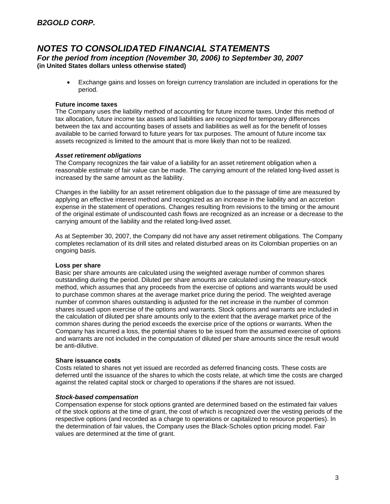• Exchange gains and losses on foreign currency translation are included in operations for the period.

#### **Future income taxes**

The Company uses the liability method of accounting for future income taxes. Under this method of tax allocation, future income tax assets and liabilities are recognized for temporary differences between the tax and accounting bases of assets and liabilities as well as for the benefit of losses available to be carried forward to future years for tax purposes. The amount of future income tax assets recognized is limited to the amount that is more likely than not to be realized.

#### *Asset retirement obligations*

The Company recognizes the fair value of a liability for an asset retirement obligation when a reasonable estimate of fair value can be made. The carrying amount of the related long-lived asset is increased by the same amount as the liability.

Changes in the liability for an asset retirement obligation due to the passage of time are measured by applying an effective interest method and recognized as an increase in the liability and an accretion expense in the statement of operations. Changes resulting from revisions to the timing or the amount of the original estimate of undiscounted cash flows are recognized as an increase or a decrease to the carrying amount of the liability and the related long-lived asset.

As at September 30, 2007, the Company did not have any asset retirement obligations. The Company completes reclamation of its drill sites and related disturbed areas on its Colombian properties on an ongoing basis.

#### **Loss per share**

Basic per share amounts are calculated using the weighted average number of common shares outstanding during the period. Diluted per share amounts are calculated using the treasury-stock method, which assumes that any proceeds from the exercise of options and warrants would be used to purchase common shares at the average market price during the period. The weighted average number of common shares outstanding is adjusted for the net increase in the number of common shares issued upon exercise of the options and warrants. Stock options and warrants are included in the calculation of diluted per share amounts only to the extent that the average market price of the common shares during the period exceeds the exercise price of the options or warrants. When the Company has incurred a loss, the potential shares to be issued from the assumed exercise of options and warrants are not included in the computation of diluted per share amounts since the result would be anti-dilutive.

#### **Share issuance costs**

Costs related to shares not yet issued are recorded as deferred financing costs. These costs are deferred until the issuance of the shares to which the costs relate, at which time the costs are charged against the related capital stock or charged to operations if the shares are not issued.

#### *Stock-based compensation*

Compensation expense for stock options granted are determined based on the estimated fair values of the stock options at the time of grant, the cost of which is recognized over the vesting periods of the respective options (and recorded as a charge to operations or capitalized to resource properties). In the determination of fair values, the Company uses the Black-Scholes option pricing model. Fair values are determined at the time of grant.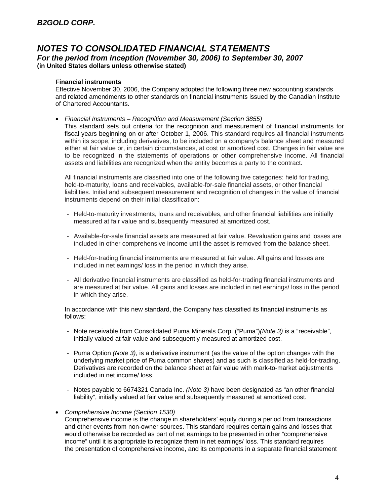#### **Financial instruments**

Effective November 30, 2006, the Company adopted the following three new accounting standards and related amendments to other standards on financial instruments issued by the Canadian Institute of Chartered Accountants.

• *Financial Instruments – Recognition and Measurement (Section 3855)* 

This standard sets out criteria for the recognition and measurement of financial instruments for fiscal years beginning on or after October 1, 2006. This standard requires all financial instruments within its scope, including derivatives, to be included on a company's balance sheet and measured either at fair value or, in certain circumstances, at cost or amortized cost. Changes in fair value are to be recognized in the statements of operations or other comprehensive income. All financial assets and liabilities are recognized when the entity becomes a party to the contract.

All financial instruments are classified into one of the following five categories: held for trading, held-to-maturity, loans and receivables, available-for-sale financial assets, or other financial liabilities. Initial and subsequent measurement and recognition of changes in the value of financial instruments depend on their initial classification:

- Held-to-maturity investments, loans and receivables, and other financial liabilities are initially measured at fair value and subsequently measured at amortized cost.
- Available-for-sale financial assets are measured at fair value. Revaluation gains and losses are included in other comprehensive income until the asset is removed from the balance sheet.
- Held-for-trading financial instruments are measured at fair value. All gains and losses are included in net earnings/ loss in the period in which they arise.
- All derivative financial instruments are classified as held-for-trading financial instruments and are measured at fair value. All gains and losses are included in net earnings/ loss in the period in which they arise.

In accordance with this new standard, the Company has classified its financial instruments as follows:

- Note receivable from Consolidated Puma Minerals Corp. ("Puma")*(Note 3)* is a "receivable", initially valued at fair value and subsequently measured at amortized cost.
- Puma Option *(Note 3)*, is a derivative instrument (as the value of the option changes with the underlying market price of Puma common shares) and as such is classified as held-for-trading. Derivatives are recorded on the balance sheet at fair value with mark-to-market adjustments included in net income/ loss.
- Notes payable to 6674321 Canada Inc. *(Note 3)* have been designated as "an other financial liability", initially valued at fair value and subsequently measured at amortized cost.
- *Comprehensive Income (Section 1530)*

Comprehensive income is the change in shareholders' equity during a period from transactions and other events from non-owner sources. This standard requires certain gains and losses that would otherwise be recorded as part of net earnings to be presented in other "comprehensive income" until it is appropriate to recognize them in net earnings/ loss. This standard requires the presentation of comprehensive income, and its components in a separate financial statement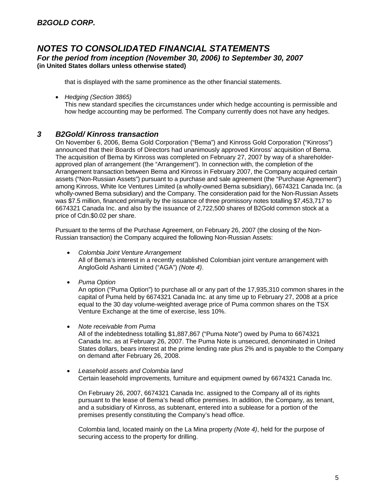that is displayed with the same prominence as the other financial statements.

• *Hedging (Section 3865)* 

This new standard specifies the circumstances under which hedge accounting is permissible and how hedge accounting may be performed. The Company currently does not have any hedges.

## *3 B2Gold/ Kinross transaction*

On November 6, 2006, Bema Gold Corporation ("Bema") and Kinross Gold Corporation ("Kinross") announced that their Boards of Directors had unanimously approved Kinross' acquisition of Bema. The acquisition of Bema by Kinross was completed on February 27, 2007 by way of a shareholderapproved plan of arrangement (the "Arrangement"). In connection with, the completion of the Arrangement transaction between Bema and Kinross in February 2007, the Company acquired certain assets ("Non-Russian Assets") pursuant to a purchase and sale agreement (the "Purchase Agreement") among Kinross, White Ice Ventures Limited (a wholly-owned Bema subsidiary), 6674321 Canada Inc. (a wholly-owned Bema subsidiary) and the Company. The consideration paid for the Non-Russian Assets was \$7.5 million, financed primarily by the issuance of three promissory notes totalling \$7,453,717 to 6674321 Canada Inc. and also by the issuance of 2,722,500 shares of B2Gold common stock at a price of Cdn.\$0.02 per share.

Pursuant to the terms of the Purchase Agreement, on February 26, 2007 (the closing of the Non-Russian transaction) the Company acquired the following Non-Russian Assets:

- *Colombia Joint Venture Arrangement*  All of Bema's interest in a recently established Colombian joint venture arrangement with AngloGold Ashanti Limited ("AGA") *(Note 4)*.
- *Puma Option*

An option ("Puma Option") to purchase all or any part of the 17,935,310 common shares in the capital of Puma held by 6674321 Canada Inc. at any time up to February 27, 2008 at a price equal to the 30 day volume-weighted average price of Puma common shares on the TSX Venture Exchange at the time of exercise, less 10%.

• *Note receivable from Puma* 

All of the indebtedness totalling \$1,887,867 ("Puma Note") owed by Puma to 6674321 Canada Inc. as at February 26, 2007. The Puma Note is unsecured, denominated in United States dollars, bears interest at the prime lending rate plus 2% and is payable to the Company on demand after February 26, 2008.

• *Leasehold assets and Colombia land*  Certain leasehold improvements, furniture and equipment owned by 6674321 Canada Inc.

On February 26, 2007, 6674321 Canada Inc. assigned to the Company all of its rights pursuant to the lease of Bema's head office premises. In addition, the Company, as tenant, and a subsidiary of Kinross, as subtenant, entered into a sublease for a portion of the premises presently constituting the Company's head office.

Colombia land, located mainly on the La Mina property *(Note 4)*, held for the purpose of securing access to the property for drilling.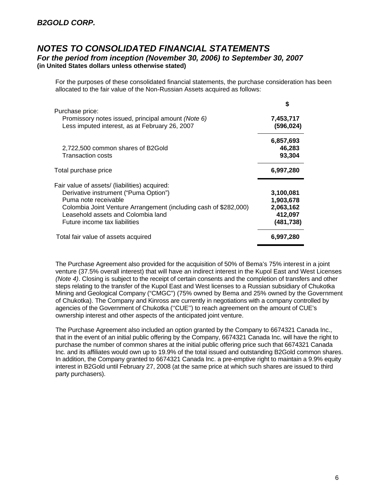For the purposes of these consolidated financial statements, the purchase consideration has been allocated to the fair value of the Non-Russian Assets acquired as follows:

|                                                                                                                                                                                                                                                           | S                                                            |
|-----------------------------------------------------------------------------------------------------------------------------------------------------------------------------------------------------------------------------------------------------------|--------------------------------------------------------------|
| Purchase price:<br>Promissory notes issued, principal amount (Note 6)<br>Less imputed interest, as at February 26, 2007                                                                                                                                   | 7,453,717<br>(596, 024)                                      |
| 2,722,500 common shares of B2Gold<br>Transaction costs                                                                                                                                                                                                    | 6,857,693<br>46,283<br>93,304                                |
| Total purchase price                                                                                                                                                                                                                                      | 6,997,280                                                    |
| Fair value of assets/ (liabilities) acquired:<br>Derivative instrument ("Puma Option")<br>Puma note receivable<br>Colombia Joint Venture Arrangement (including cash of \$282,000)<br>Leasehold assets and Colombia land<br>Future income tax liabilities | 3,100,081<br>1,903,678<br>2,063,162<br>412,097<br>(481, 738) |
| Total fair value of assets acquired                                                                                                                                                                                                                       | 6,997,280                                                    |

The Purchase Agreement also provided for the acquisition of 50% of Bema's 75% interest in a joint venture (37.5% overall interest) that will have an indirect interest in the Kupol East and West Licenses *(Note 4)*. Closing is subject to the receipt of certain consents and the completion of transfers and other steps relating to the transfer of the Kupol East and West licenses to a Russian subsidiary of Chukotka Mining and Geological Company ("CMGC") (75% owned by Bema and 25% owned by the Government of Chukotka). The Company and Kinross are currently in negotiations with a company controlled by agencies of the Government of Chukotka (''CUE'') to reach agreement on the amount of CUE's ownership interest and other aspects of the anticipated joint venture.

The Purchase Agreement also included an option granted by the Company to 6674321 Canada Inc., that in the event of an initial public offering by the Company, 6674321 Canada Inc. will have the right to purchase the number of common shares at the initial public offering price such that 6674321 Canada Inc. and its affiliates would own up to 19.9% of the total issued and outstanding B2Gold common shares. In addition, the Company granted to 6674321 Canada Inc. a pre-emptive right to maintain a 9.9% equity interest in B2Gold until February 27, 2008 (at the same price at which such shares are issued to third party purchasers).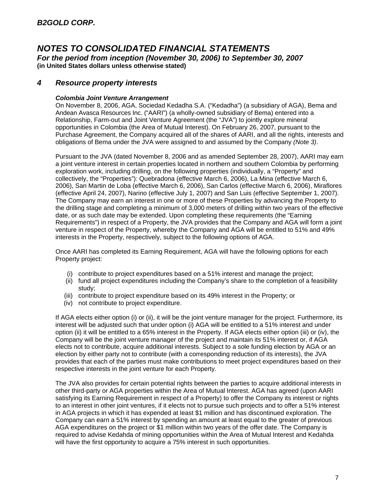# *NOTES TO CONSOLIDATED FINANCIAL STATEMENTS*

*For the period from inception (November 30, 2006) to September 30, 2007*  **(in United States dollars unless otherwise stated)** 

## *4 Resource property interests*

#### *Colombia Joint Venture Arrangement*

On November 8, 2006, AGA, Sociedad Kedadha S.A. ("Kedadha") (a subsidiary of AGA), Bema and Andean Avasca Resources Inc. ("AARI") (a wholly-owned subsidiary of Bema) entered into a Relationship, Farm-out and Joint Venture Agreement (the "JVA") to jointly explore mineral opportunities in Colombia (the Area of Mutual Interest). On February 26, 2007, pursuant to the Purchase Agreement, the Company acquired all of the shares of AARI, and all the rights, interests and obligations of Bema under the JVA were assigned to and assumed by the Company *(Note 3)*.

Pursuant to the JVA (dated November 8, 2006 and as amended September 28, 2007), AARI may earn a joint venture interest in certain properties located in northern and southern Colombia by performing exploration work, including drilling, on the following properties (individually, a "Property" and collectively, the "Properties"): Quebradona (effective March 6, 2006), La Mina (effective March 6, 2006), San Martin de Loba (effective March 6, 2006), San Carlos (effective March 6, 2006), Miraflores (effective April 24, 2007), Narino (effective July 1, 2007) and San Luis (effective September 1, 2007). The Company may earn an interest in one or more of these Properties by advancing the Property to the drilling stage and completing a minimum of 3,000 meters of drilling within two years of the effective date, or as such date may be extended. Upon completing these requirements (the "Earning Requirements") in respect of a Property, the JVA provides that the Company and AGA will form a joint venture in respect of the Property, whereby the Company and AGA will be entitled to 51% and 49% interests in the Property, respectively, subject to the following options of AGA.

Once AARI has completed its Earning Requirement, AGA will have the following options for each Property project:

- (i) contribute to project expenditures based on a 51% interest and manage the project;
- (ii) fund all project expenditures including the Company's share to the completion of a feasibility study;
- (iii) contribute to project expenditure based on its 49% interest in the Property; or
- (iv) not contribute to project expenditure.

If AGA elects either option (i) or (ii), it will be the joint venture manager for the project. Furthermore, its interest will be adjusted such that under option (i) AGA will be entitled to a 51% interest and under option (ii) it will be entitled to a 65% interest in the Property. If AGA elects either option (iii) or (iv), the Company will be the joint venture manager of the project and maintain its 51% interest or, if AGA elects not to contribute, acquire additional interests. Subject to a sole funding election by AGA or an election by either party not to contribute (with a corresponding reduction of its interests), the JVA provides that each of the parties must make contributions to meet project expenditures based on their respective interests in the joint venture for each Property.

The JVA also provides for certain potential rights between the parties to acquire additional interests in other third-party or AGA properties within the Area of Mutual Interest. AGA has agreed (upon AARI satisfying its Earning Requirement in respect of a Property) to offer the Company its interest or rights to an interest in other joint ventures, if it elects not to pursue such projects and to offer a 51% interest in AGA projects in which it has expended at least \$1 million and has discontinued exploration. The Company can earn a 51% interest by spending an amount at least equal to the greater of previous AGA expenditures on the project or \$1 million within two years of the offer date. The Company is required to advise Kedahda of mining opportunities within the Area of Mutual Interest and Kedahda will have the first opportunity to acquire a 75% interest in such opportunities.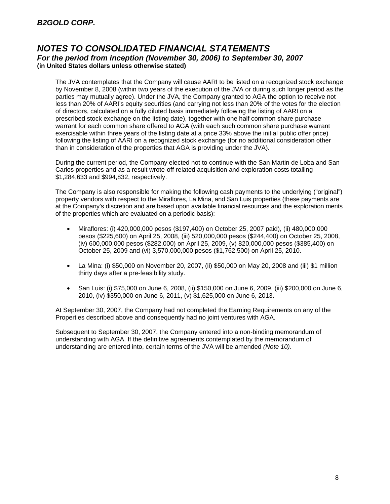The JVA contemplates that the Company will cause AARI to be listed on a recognized stock exchange by November 8, 2008 (within two years of the execution of the JVA or during such longer period as the parties may mutually agree). Under the JVA, the Company granted to AGA the option to receive not less than 20% of AARI's equity securities (and carrying not less than 20% of the votes for the election of directors, calculated on a fully diluted basis immediately following the listing of AARI on a prescribed stock exchange on the listing date), together with one half common share purchase warrant for each common share offered to AGA (with each such common share purchase warrant exercisable within three years of the listing date at a price 33% above the initial public offer price) following the listing of AARI on a recognized stock exchange (for no additional consideration other than in consideration of the properties that AGA is providing under the JVA).

During the current period, the Company elected not to continue with the San Martin de Loba and San Carlos properties and as a result wrote-off related acquisition and exploration costs totalling \$1,284,633 and \$994,832, respectively.

The Company is also responsible for making the following cash payments to the underlying ("original") property vendors with respect to the Miraflores, La Mina, and San Luis properties (these payments are at the Company's discretion and are based upon available financial resources and the exploration merits of the properties which are evaluated on a periodic basis):

- Miraflores: (i) 420,000,000 pesos (\$197,400) on October 25, 2007 paid), (ii) 480,000,000 pesos (\$225,600) on April 25, 2008, (iii) 520,000,000 pesos (\$244,400) on October 25, 2008, (iv) 600,000,000 pesos (\$282,000) on April 25, 2009, (v) 820,000,000 pesos (\$385,400) on October 25, 2009 and (vi) 3,570,000,000 pesos (\$1,762,500) on April 25, 2010.
- La Mina: (i) \$50,000 on November 20, 2007, (ii) \$50,000 on May 20, 2008 and (iii) \$1 million thirty days after a pre-feasibility study.
- San Luis: (i) \$75,000 on June 6, 2008, (ii) \$150,000 on June 6, 2009, (iii) \$200,000 on June 6, 2010, (iv) \$350,000 on June 6, 2011, (v) \$1,625,000 on June 6, 2013.

At September 30, 2007, the Company had not completed the Earning Requirements on any of the Properties described above and consequently had no joint ventures with AGA.

Subsequent to September 30, 2007, the Company entered into a non-binding memorandum of understanding with AGA. If the definitive agreements contemplated by the memorandum of understanding are entered into, certain terms of the JVA will be amended *(Note 10)*.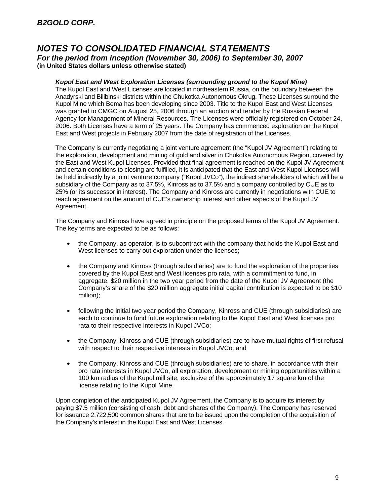#### *Kupol East and West Exploration Licenses (surrounding ground to the Kupol Mine)*

The Kupol East and West Licenses are located in northeastern Russia, on the boundary between the Anadyrski and Bilibinski districts within the Chukotka Autonomous Okrug. These Licenses surround the Kupol Mine which Bema has been developing since 2003. Title to the Kupol East and West Licenses was granted to CMGC on August 25, 2006 through an auction and tender by the Russian Federal Agency for Management of Mineral Resources. The Licenses were officially registered on October 24, 2006. Both Licenses have a term of 25 years. The Company has commenced exploration on the Kupol East and West projects in February 2007 from the date of registration of the Licenses.

The Company is currently negotiating a joint venture agreement (the "Kupol JV Agreement") relating to the exploration, development and mining of gold and silver in Chukotka Autonomous Region, covered by the East and West Kupol Licenses. Provided that final agreement is reached on the Kupol JV Agreement and certain conditions to closing are fulfilled, it is anticipated that the East and West Kupol Licenses will be held indirectly by a joint venture company ("Kupol JVCo"), the indirect shareholders of which will be a subsidiary of the Company as to 37.5%, Kinross as to 37.5% and a company controlled by CUE as to 25% (or its successor in interest). The Company and Kinross are currently in negotiations with CUE to reach agreement on the amount of CUE's ownership interest and other aspects of the Kupol JV Agreement.

The Company and Kinross have agreed in principle on the proposed terms of the Kupol JV Agreement. The key terms are expected to be as follows:

- the Company, as operator, is to subcontract with the company that holds the Kupol East and West licenses to carry out exploration under the licenses;
- the Company and Kinross (through subsidiaries) are to fund the exploration of the properties covered by the Kupol East and West licenses pro rata, with a commitment to fund, in aggregate, \$20 million in the two year period from the date of the Kupol JV Agreement (the Company's share of the \$20 million aggregate initial capital contribution is expected to be \$10 million);
- following the initial two year period the Company, Kinross and CUE (through subsidiaries) are each to continue to fund future exploration relating to the Kupol East and West licenses pro rata to their respective interests in Kupol JVCo;
- the Company, Kinross and CUE (through subsidiaries) are to have mutual rights of first refusal with respect to their respective interests in Kupol JVCo; and
- the Company, Kinross and CUE (through subsidiaries) are to share, in accordance with their pro rata interests in Kupol JVCo, all exploration, development or mining opportunities within a 100 km radius of the Kupol mill site, exclusive of the approximately 17 square km of the license relating to the Kupol Mine.

Upon completion of the anticipated Kupol JV Agreement, the Company is to acquire its interest by paying \$7.5 million (consisting of cash, debt and shares of the Company). The Company has reserved for issuance 2,722,500 common shares that are to be issued upon the completion of the acquisition of the Company's interest in the Kupol East and West Licenses.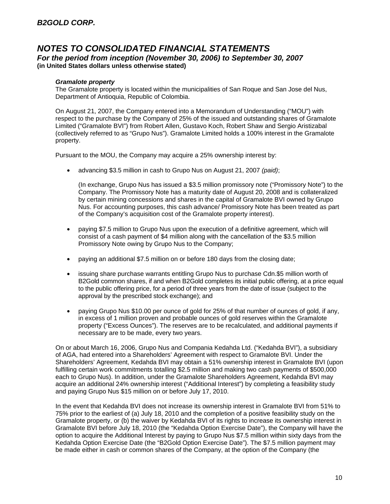# *NOTES TO CONSOLIDATED FINANCIAL STATEMENTS*

*For the period from inception (November 30, 2006) to September 30, 2007*  **(in United States dollars unless otherwise stated)** 

#### *Gramalote property*

The Gramalote property is located within the municipalities of San Roque and San Jose del Nus, Department of Antioquia, Republic of Colombia.

On August 21, 2007, the Company entered into a Memorandum of Understanding ("MOU") with respect to the purchase by the Company of 25% of the issued and outstanding shares of Gramalote Limited ("Gramalote BVI") from Robert Allen, Gustavo Koch, Robert Shaw and Sergio Aristizabal (collectively referred to as "Grupo Nus"). Gramalote Limited holds a 100% interest in the Gramalote property.

Pursuant to the MOU, the Company may acquire a 25% ownership interest by:

• advancing \$3.5 million in cash to Grupo Nus on August 21, 2007 *(paid)*;

(In exchange, Grupo Nus has issued a \$3.5 million promissory note ("Promissory Note") to the Company. The Promissory Note has a maturity date of August 20, 2008 and is collateralized by certain mining concessions and shares in the capital of Gramalote BVI owned by Grupo Nus. For accounting purposes, this cash advance/ Promissory Note has been treated as part of the Company's acquisition cost of the Gramalote property interest).

- paying \$7.5 million to Grupo Nus upon the execution of a definitive agreement, which will consist of a cash payment of \$4 million along with the cancellation of the \$3.5 million Promissory Note owing by Grupo Nus to the Company;
- paying an additional \$7.5 million on or before 180 days from the closing date;
- issuing share purchase warrants entitling Grupo Nus to purchase Cdn.\$5 million worth of B2Gold common shares, if and when B2Gold completes its initial public offering, at a price equal to the public offering price, for a period of three years from the date of issue (subject to the approval by the prescribed stock exchange); and
- paying Grupo Nus \$10.00 per ounce of gold for 25% of that number of ounces of gold, if any, in excess of 1 million proven and probable ounces of gold reserves within the Gramalote property ("Excess Ounces"). The reserves are to be recalculated, and additional payments if necessary are to be made, every two years.

On or about March 16, 2006, Grupo Nus and Compania Kedahda Ltd. ("Kedahda BVI"), a subsidiary of AGA, had entered into a Shareholders' Agreement with respect to Gramalote BVI. Under the Shareholders' Agreement, Kedahda BVI may obtain a 51% ownership interest in Gramalote BVI (upon fulfilling certain work commitments totalling \$2.5 million and making two cash payments of \$500,000 each to Grupo Nus). In addition, under the Gramalote Shareholders Agreement, Kedahda BVI may acquire an additional 24% ownership interest ("Additional Interest") by completing a feasibility study and paying Grupo Nus \$15 million on or before July 17, 2010.

In the event that Kedahda BVI does not increase its ownership interest in Gramalote BVI from 51% to 75% prior to the earliest of (a) July 18, 2010 and the completion of a positive feasibility study on the Gramalote property, or (b) the waiver by Kedahda BVI of its rights to increase its ownership interest in Gramalote BVI before July 18, 2010 (the "Kedahda Option Exercise Date"), the Company will have the option to acquire the Additional Interest by paying to Grupo Nus \$7.5 million within sixty days from the Kedahda Option Exercise Date (the "B2Gold Option Exercise Date"). The \$7.5 million payment may be made either in cash or common shares of the Company, at the option of the Company (the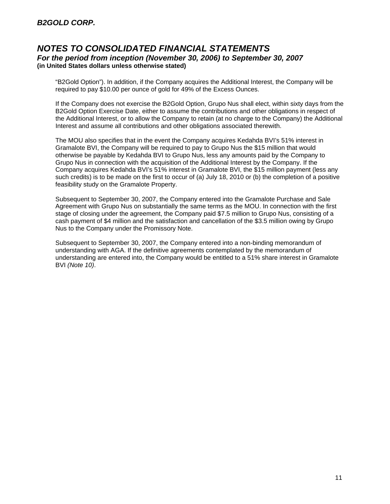"B2Gold Option"). In addition, if the Company acquires the Additional Interest, the Company will be required to pay \$10.00 per ounce of gold for 49% of the Excess Ounces.

If the Company does not exercise the B2Gold Option, Grupo Nus shall elect, within sixty days from the B2Gold Option Exercise Date, either to assume the contributions and other obligations in respect of the Additional Interest, or to allow the Company to retain (at no charge to the Company) the Additional Interest and assume all contributions and other obligations associated therewith.

The MOU also specifies that in the event the Company acquires Kedahda BVI's 51% interest in Gramalote BVI, the Company will be required to pay to Grupo Nus the \$15 million that would otherwise be payable by Kedahda BVI to Grupo Nus, less any amounts paid by the Company to Grupo Nus in connection with the acquisition of the Additional Interest by the Company. If the Company acquires Kedahda BVI's 51% interest in Gramalote BVI, the \$15 million payment (less any such credits) is to be made on the first to occur of (a) July 18, 2010 or (b) the completion of a positive feasibility study on the Gramalote Property.

Subsequent to September 30, 2007, the Company entered into the Gramalote Purchase and Sale Agreement with Grupo Nus on substantially the same terms as the MOU. In connection with the first stage of closing under the agreement, the Company paid \$7.5 million to Grupo Nus, consisting of a cash payment of \$4 million and the satisfaction and cancellation of the \$3.5 million owing by Grupo Nus to the Company under the Promissory Note.

Subsequent to September 30, 2007, the Company entered into a non-binding memorandum of understanding with AGA. If the definitive agreements contemplated by the memorandum of understanding are entered into, the Company would be entitled to a 51% share interest in Gramalote BVI *(Note 10)*.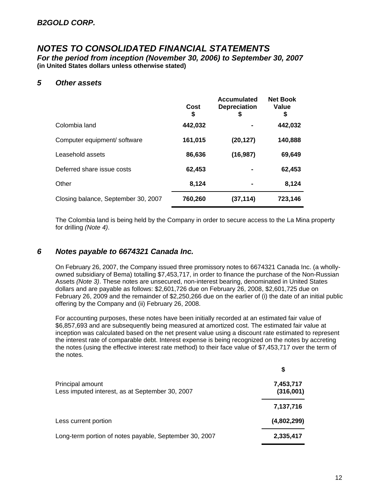## *NOTES TO CONSOLIDATED FINANCIAL STATEMENTS*

*For the period from inception (November 30, 2006) to September 30, 2007*  **(in United States dollars unless otherwise stated)** 

#### *5 Other assets*

|                                     | Cost<br>\$ | Accumulated<br><b>Depreciation</b><br>\$ | <b>Net Book</b><br>Value<br>\$ |
|-------------------------------------|------------|------------------------------------------|--------------------------------|
| Colombia land                       | 442,032    |                                          | 442,032                        |
| Computer equipment/ software        | 161,015    | (20,127)                                 | 140,888                        |
| Leasehold assets                    | 86,636     | (16, 987)                                | 69,649                         |
| Deferred share issue costs          | 62,453     |                                          | 62,453                         |
| Other                               | 8,124      | $\blacksquare$                           | 8,124                          |
| Closing balance, September 30, 2007 | 760,260    | (37,114)                                 | 723,146                        |

The Colombia land is being held by the Company in order to secure access to the La Mina property for drilling *(Note 4)*.

## *6 Notes payable to 6674321 Canada Inc.*

On February 26, 2007, the Company issued three promissory notes to 6674321 Canada Inc. (a whollyowned subsidiary of Bema) totalling \$7,453,717, in order to finance the purchase of the Non-Russian Assets *(Note 3)*. These notes are unsecured, non-interest bearing, denominated in United States dollars and are payable as follows: \$2,601,726 due on February 26, 2008, \$2,601,725 due on February 26, 2009 and the remainder of \$2,250,266 due on the earlier of (i) the date of an initial public offering by the Company and (ii) February 26, 2008.

For accounting purposes, these notes have been initially recorded at an estimated fair value of \$6,857,693 and are subsequently being measured at amortized cost. The estimated fair value at inception was calculated based on the net present value using a discount rate estimated to represent the interest rate of comparable debt. Interest expense is being recognized on the notes by accreting the notes (using the effective interest rate method) to their face value of \$7,453,717 over the term of the notes.

|                                                                     | S                      |
|---------------------------------------------------------------------|------------------------|
| Principal amount<br>Less imputed interest, as at September 30, 2007 | 7,453,717<br>(316,001) |
|                                                                     | 7,137,716              |
| Less current portion                                                | (4,802,299)            |
| Long-term portion of notes payable, September 30, 2007              | 2,335,417              |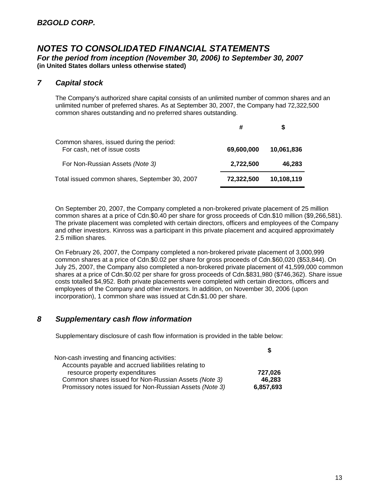## *7 Capital stock*

The Company's authorized share capital consists of an unlimited number of common shares and an unlimited number of preferred shares. As at September 30, 2007, the Company had 72,322,500 common shares outstanding and no preferred shares outstanding.

| Common shares, issued during the period:<br>For cash, net of issue costs | 69,600,000 | 10,061,836 |
|--------------------------------------------------------------------------|------------|------------|
| For Non-Russian Assets (Note 3)                                          | 2,722,500  | 46,283     |
| Total issued common shares, September 30, 2007                           | 72,322,500 | 10,108,119 |

On September 20, 2007, the Company completed a non-brokered private placement of 25 million common shares at a price of Cdn.\$0.40 per share for gross proceeds of Cdn.\$10 million (\$9,266,581). The private placement was completed with certain directors, officers and employees of the Company and other investors. Kinross was a participant in this private placement and acquired approximately 2.5 million shares.

On February 26, 2007, the Company completed a non-brokered private placement of 3,000,999 common shares at a price of Cdn.\$0.02 per share for gross proceeds of Cdn.\$60,020 (\$53,844). On July 25, 2007, the Company also completed a non-brokered private placement of 41,599,000 common shares at a price of Cdn.\$0.02 per share for gross proceeds of Cdn.\$831,980 (\$746,362). Share issue costs totalled \$4,952. Both private placements were completed with certain directors, officers and employees of the Company and other investors. In addition, on November 30, 2006 (upon incorporation), 1 common share was issued at Cdn.\$1.00 per share.

### *8 Supplementary cash flow information*

Supplementary disclosure of cash flow information is provided in the table below:

| 727.026   |
|-----------|
| 46.283    |
| 6,857,693 |
|           |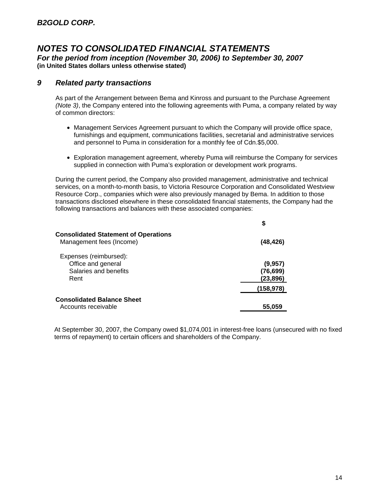# *NOTES TO CONSOLIDATED FINANCIAL STATEMENTS*

*For the period from inception (November 30, 2006) to September 30, 2007*  **(in United States dollars unless otherwise stated)** 

### *9 Related party transactions*

As part of the Arrangement between Bema and Kinross and pursuant to the Purchase Agreement *(Note 3)*, the Company entered into the following agreements with Puma, a company related by way of common directors:

- Management Services Agreement pursuant to which the Company will provide office space, furnishings and equipment, communications facilities, secretarial and administrative services and personnel to Puma in consideration for a monthly fee of Cdn.\$5,000.
- Exploration management agreement, whereby Puma will reimburse the Company for services supplied in connection with Puma's exploration or development work programs.

During the current period, the Company also provided management, administrative and technical services, on a month-to-month basis, to Victoria Resource Corporation and Consolidated Westview Resource Corp., companies which were also previously managed by Bema. In addition to those transactions disclosed elsewhere in these consolidated financial statements, the Company had the following transactions and balances with these associated companies:

|                                                                               | \$                               |
|-------------------------------------------------------------------------------|----------------------------------|
| <b>Consolidated Statement of Operations</b><br>Management fees (Income)       | (48,426)                         |
| Expenses (reimbursed):<br>Office and general<br>Salaries and benefits<br>Rent | (9,957)<br>(76, 699)<br>(23,896) |
|                                                                               | (158, 978)                       |
| <b>Consolidated Balance Sheet</b>                                             |                                  |
| Accounts receivable                                                           | 55,059                           |

At September 30, 2007, the Company owed \$1,074,001 in interest-free loans (unsecured with no fixed terms of repayment) to certain officers and shareholders of the Company.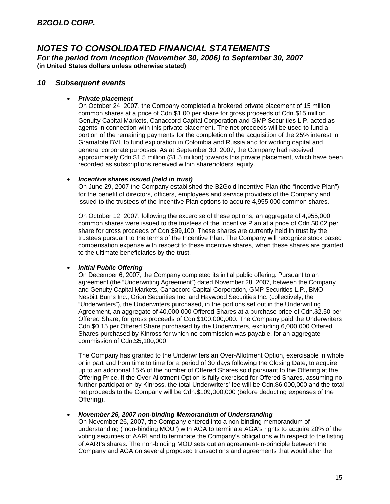#### *10 Subsequent events*

#### • *Private placement*

On October 24, 2007, the Company completed a brokered private placement of 15 million common shares at a price of Cdn.\$1.00 per share for gross proceeds of Cdn.\$15 million. Genuity Capital Markets, Canaccord Capital Corporation and GMP Securities L.P. acted as agents in connection with this private placement. The net proceeds will be used to fund a portion of the remaining payments for the completion of the acquisition of the 25% interest in Gramalote BVI, to fund exploration in Colombia and Russia and for working capital and general corporate purposes. As at September 30, 2007, the Company had received approximately Cdn.\$1.5 million (\$1.5 million) towards this private placement, which have been recorded as subscriptions received within shareholders' equity.

#### • *Incentive shares issued (held in trust)*

On June 29, 2007 the Company established the B2Gold Incentive Plan (the "Incentive Plan") for the benefit of directors, officers, employees and service providers of the Company and issued to the trustees of the Incentive Plan options to acquire 4,955,000 common shares.

On October 12, 2007, following the excercise of these options, an aggregate of 4,955,000 common shares were issued to the trustees of the Incentive Plan at a price of Cdn.\$0.02 per share for gross proceeds of Cdn.\$99,100. These shares are currently held in trust by the trustees pursuant to the terms of the Incentive Plan. The Company will recognize stock based compensation expense with respect to these incentive shares, when these shares are granted to the ultimate beneficiaries by the trust.

#### • *Initial Public Offering*

On December 6, 2007, the Company completed its initial public offering. Pursuant to an agreement (the "Underwriting Agreement") dated November 28, 2007, between the Company and Genuity Capital Markets, Canaccord Capital Corporation, GMP Securities L.P., BMO Nesbitt Burns Inc., Orion Securities Inc. and Haywood Securities Inc. (collectively, the "Underwriters"), the Underwriters purchased, in the portions set out in the Underwriting Agreement, an aggregate of 40,000,000 Offered Shares at a purchase price of Cdn.\$2.50 per Offered Share, for gross proceeds of Cdn.\$100,000,000. The Company paid the Underwriters Cdn.\$0.15 per Offered Share purchased by the Underwriters, excluding 6,000,000 Offered Shares purchased by Kinross for which no commission was payable, for an aggregate commission of Cdn.\$5,100,000.

The Company has granted to the Underwriters an Over-Allotment Option, exercisable in whole or in part and from time to time for a period of 30 days following the Closing Date, to acquire up to an additional 15% of the number of Offered Shares sold pursuant to the Offering at the Offering Price. If the Over-Allotment Option is fully exercised for Offered Shares, assuming no further participation by Kinross, the total Underwriters' fee will be Cdn.\$6,000,000 and the total net proceeds to the Company will be Cdn.\$109,000,000 (before deducting expenses of the Offering).

#### • *November 26, 2007 non-binding Memorandum of Understanding*

On November 26, 2007, the Company entered into a non-binding memorandum of understanding ("non-binding MOU") with AGA to terminate AGA's rights to acquire 20% of the voting securities of AARI and to terminate the Company's obligations with respect to the listing of AARI's shares. The non-binding MOU sets out an agreement-in-principle between the Company and AGA on several proposed transactions and agreements that would alter the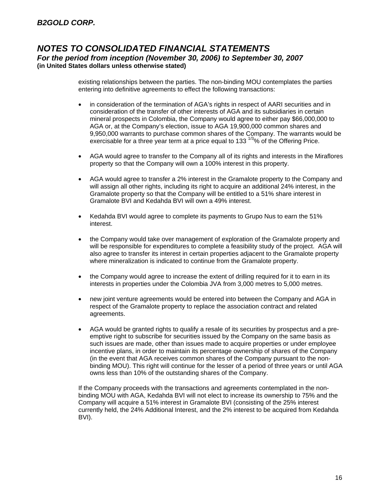existing relationships between the parties. The non-binding MOU contemplates the parties entering into definitive agreements to effect the following transactions:

- in consideration of the termination of AGA's rights in respect of AARI securities and in consideration of the transfer of other interests of AGA and its subsidiaries in certain mineral prospects in Colombia, the Company would agree to either pay \$66,000,000 to AGA or, at the Company's election, issue to AGA 19,900,000 common shares and 9,950,000 warrants to purchase common shares of the Company. The warrants would be exercisable for a three year term at a price equal to 133  $^{1/3}$ % of the Offering Price.
- AGA would agree to transfer to the Company all of its rights and interests in the Miraflores property so that the Company will own a 100% interest in this property.
- AGA would agree to transfer a 2% interest in the Gramalote property to the Company and will assign all other rights, including its right to acquire an additional 24% interest, in the Gramalote property so that the Company will be entitled to a 51% share interest in Gramalote BVI and Kedahda BVI will own a 49% interest.
- Kedahda BVI would agree to complete its payments to Grupo Nus to earn the 51% interest.
- the Company would take over management of exploration of the Gramalote property and will be responsible for expenditures to complete a feasibility study of the project. AGA will also agree to transfer its interest in certain properties adjacent to the Gramalote property where mineralization is indicated to continue from the Gramalote property.
- the Company would agree to increase the extent of drilling required for it to earn in its interests in properties under the Colombia JVA from 3,000 metres to 5,000 metres.
- new joint venture agreements would be entered into between the Company and AGA in respect of the Gramalote property to replace the association contract and related agreements.
- AGA would be granted rights to qualify a resale of its securities by prospectus and a preemptive right to subscribe for securities issued by the Company on the same basis as such issues are made, other than issues made to acquire properties or under employee incentive plans, in order to maintain its percentage ownership of shares of the Company (in the event that AGA receives common shares of the Company pursuant to the nonbinding MOU). This right will continue for the lesser of a period of three years or until AGA owns less than 10% of the outstanding shares of the Company.

If the Company proceeds with the transactions and agreements contemplated in the nonbinding MOU with AGA, Kedahda BVI will not elect to increase its ownership to 75% and the Company will acquire a 51% interest in Gramalote BVI (consisting of the 25% interest currently held, the 24% Additional Interest, and the 2% interest to be acquired from Kedahda BVI).